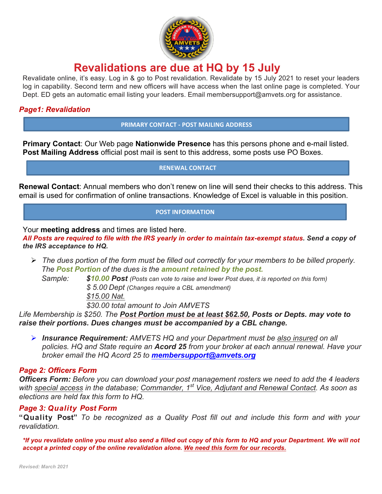

## **Revalidations are due at HQ by 15 July**

Revalidate online, it's easy. Log in & go to Post revalidation. Revalidate by 15 July 2021 to reset your leaders log in capability. Second term and new officers will have access when the last online page is completed. Your Dept. ED gets an automatic email listing your leaders. Email membersupport@amvets.org for assistance.

#### *Page1: Revalidation*

**PRIMARY CONTACT - POST MAILING ADDRESS**

**Primary Contact**: Our Web page **Nationwide Presence** has this persons phone and e-mail listed. **Post Mailing Address** official post mail is sent to this address, some posts use PO Boxes.

**RENEWAL CONTACT** 

**Renewal Contact**: Annual members who don't renew on line will send their checks to this address. This email is used for confirmation of online transactions. Knowledge of Excel is valuable in this position.

#### **POST INFORMATION**

Your **meeting address** and times are listed here.

*All Posts are required to file with the IRS yearly in order to maintain tax-exempt status. Send a copy of the IRS acceptance to HQ.*

Ø *The dues portion of the form must be filled out correctly for your members to be billed properly. The Post Portion of the dues is the amount retained by the post.*

*Sample: \$10.00 Post (Posts can vote to raise and lower Post dues, it is reported on this form) \$ 5.00 Dept (Changes require a CBL amendment) \$15.00 Nat. \$30.00 total amount to Join AMVETS*

*Life Membership is \$250. The Post Portion must be at least \$62.50, Posts or Depts. may vote to raise their portions. Dues changes must be accompanied by a CBL change.*

Ø *Insurance Requirement: AMVETS HQ and your Department must be also insured on all policies. HQ and State require an Acord 25 from your broker at each annual renewal. Have your broker email the HQ Acord 25 to membersupport@amvets.org*

#### *Page 2: Officers Form*

*Officers Form: Before you can download your post management rosters we need to add the 4 leaders with special access in the database; Commander, 1st Vice, Adjutant and Renewal Contact. As soon as elections are held fax this form to HQ.* 

#### *Page 3: Quality Post Form*

**"Quality Post"** *To be recognized as a Quality Post fill out and include this form and with your revalidation.*

*\*If you revalidate online you must also send a filled out copy of this form to HQ and your Department. We will not accept a printed copy of the online revalidation alone. We need this form for our records.*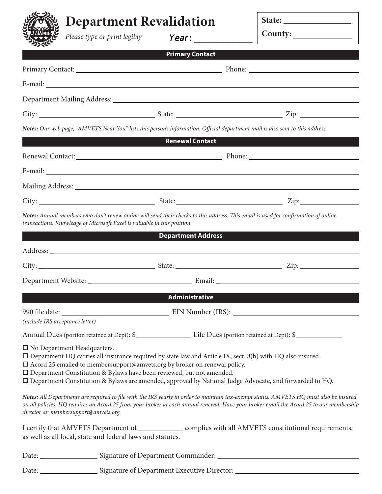## **Department Revalidation**

**State:** 

| <b>AMVETS</b>                          | Please type or print legibly                                                                                                                                                                                                                                                                |                           |  | County:                                                                                                                                                                                                                                                                           |  |
|----------------------------------------|---------------------------------------------------------------------------------------------------------------------------------------------------------------------------------------------------------------------------------------------------------------------------------------------|---------------------------|--|-----------------------------------------------------------------------------------------------------------------------------------------------------------------------------------------------------------------------------------------------------------------------------------|--|
|                                        |                                                                                                                                                                                                                                                                                             | <b>Primary Contact</b>    |  |                                                                                                                                                                                                                                                                                   |  |
|                                        |                                                                                                                                                                                                                                                                                             |                           |  |                                                                                                                                                                                                                                                                                   |  |
|                                        |                                                                                                                                                                                                                                                                                             |                           |  |                                                                                                                                                                                                                                                                                   |  |
|                                        |                                                                                                                                                                                                                                                                                             |                           |  |                                                                                                                                                                                                                                                                                   |  |
|                                        |                                                                                                                                                                                                                                                                                             |                           |  |                                                                                                                                                                                                                                                                                   |  |
|                                        | Notes: Our web page, "AMVETS Near You" lists this person's information. Official department mail is also sent to this address.                                                                                                                                                              |                           |  |                                                                                                                                                                                                                                                                                   |  |
|                                        |                                                                                                                                                                                                                                                                                             | <b>Renewal Contact</b>    |  |                                                                                                                                                                                                                                                                                   |  |
|                                        |                                                                                                                                                                                                                                                                                             |                           |  |                                                                                                                                                                                                                                                                                   |  |
|                                        |                                                                                                                                                                                                                                                                                             |                           |  |                                                                                                                                                                                                                                                                                   |  |
|                                        |                                                                                                                                                                                                                                                                                             |                           |  |                                                                                                                                                                                                                                                                                   |  |
|                                        |                                                                                                                                                                                                                                                                                             |                           |  |                                                                                                                                                                                                                                                                                   |  |
|                                        | transactions. Knowledge of Microsoft Excel is valuable in this position.                                                                                                                                                                                                                    |                           |  | Notes: Annual members who don't renew online will send their checks to this address. This email is used for confirmation of online                                                                                                                                                |  |
|                                        |                                                                                                                                                                                                                                                                                             | <b>Department Address</b> |  |                                                                                                                                                                                                                                                                                   |  |
|                                        |                                                                                                                                                                                                                                                                                             |                           |  |                                                                                                                                                                                                                                                                                   |  |
|                                        |                                                                                                                                                                                                                                                                                             |                           |  |                                                                                                                                                                                                                                                                                   |  |
|                                        |                                                                                                                                                                                                                                                                                             |                           |  |                                                                                                                                                                                                                                                                                   |  |
|                                        |                                                                                                                                                                                                                                                                                             | <b>Administrative</b>     |  |                                                                                                                                                                                                                                                                                   |  |
|                                        |                                                                                                                                                                                                                                                                                             |                           |  |                                                                                                                                                                                                                                                                                   |  |
| (include IRS acceptance letter)        |                                                                                                                                                                                                                                                                                             |                           |  |                                                                                                                                                                                                                                                                                   |  |
|                                        |                                                                                                                                                                                                                                                                                             |                           |  |                                                                                                                                                                                                                                                                                   |  |
| $\square$ No Department Headquarters.  | $\Box$ Department HQ carries all insurance required by state law and Article IX, sect. 8(b) with HQ also insured.<br>$\square$ Acord 25 emailed to membersupport@amvets.org by broker on renewal policy.<br>$\square$ Department Constitution & Bylaws have been reviewed, but not amended. |                           |  | □ Department Constitution & Bylaws are amended, approved by National Judge Advocate, and forwarded to HQ.                                                                                                                                                                         |  |
| director at: membersupport@amvets.org. |                                                                                                                                                                                                                                                                                             |                           |  | Notes: All Departments are required to file with the IRS yearly in order to maintain tax-exempt status. AMVETS HQ must also be insured<br>on all policies. HQ requires an Acord 25 from your broker at each annual renewal. Have your broker email the Acord 25 to our membership |  |
|                                        | as well as all local, state and federal laws and statutes.                                                                                                                                                                                                                                  |                           |  | I certify that AMVETS Department of ______________ complies with all AMVETS constitutional requirements,                                                                                                                                                                          |  |
|                                        |                                                                                                                                                                                                                                                                                             |                           |  |                                                                                                                                                                                                                                                                                   |  |
|                                        |                                                                                                                                                                                                                                                                                             |                           |  |                                                                                                                                                                                                                                                                                   |  |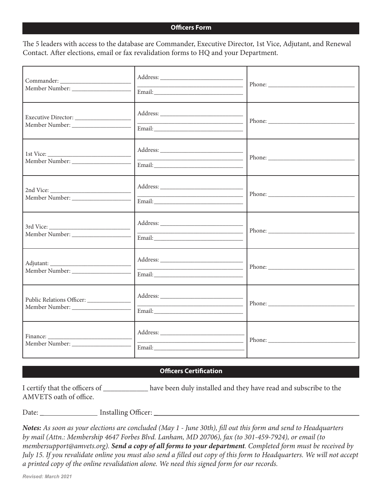#### **Officers Form**

The 5 leaders with access to the database are Commander, Executive Director, 1st Vice, Adjutant, and Renewal Contact. After elections, email or fax revalidation forms to HQ and your Department.

| <u> 1989 - Johann Barn, mars an t-Amerikaansk politiker (</u><br>$Email: \begin{tabular}{@{}c@{}} \hline \rule[1em]{1em}{1em} \rule[1em]{1em}{1em} \rule[1em]{1em}{1em} \rule[1em]{1em}{1em} \rule[1em]{1em}{1em} \rule[1em]{1em}{1em} \rule[1em]{1em}{1em} \rule[1em]{1em}{1em} \rule[1em]{1em}{1em} \rule[1em]{1em}{1em} \rule[1em]{1em}{1em} \rule[1em]{1em}{1em} \rule[1em]{1em}{1em} \rule[1em]{1em}{1em} \rule[1em]{1em}{1em} \rule[1em]{1em}{1em} \rule[1em]{1em}{1$ |  |
|-----------------------------------------------------------------------------------------------------------------------------------------------------------------------------------------------------------------------------------------------------------------------------------------------------------------------------------------------------------------------------------------------------------------------------------------------------------------------------|--|
|                                                                                                                                                                                                                                                                                                                                                                                                                                                                             |  |
| $Email: \begin{tabular}{ c c c } \hline \multicolumn{3}{ c }{\textbf{Email:}} \hline \multicolumn{3}{ c }{\textbf{Mail:}} \hline \multicolumn{3}{ c }{\textbf{Mail:}} \hline \multicolumn{3}{ c }{\textbf{Mail:}} \hline \multicolumn{3}{ c }{\textbf{Mail:}} \hline \multicolumn{3}{ c }{\textbf{Mail:}} \hline \multicolumn{3}{ c }{\textbf{Mail:}} \hline \multicolumn{3}{ c }{\textbf{Mail:}} \hline \multicolumn{3}{ c }{\textbf{Mail:}} \hline \multicolumn{3}{ c }{$ |  |
|                                                                                                                                                                                                                                                                                                                                                                                                                                                                             |  |
|                                                                                                                                                                                                                                                                                                                                                                                                                                                                             |  |
|                                                                                                                                                                                                                                                                                                                                                                                                                                                                             |  |
|                                                                                                                                                                                                                                                                                                                                                                                                                                                                             |  |

#### **Officers Certification**

I certify that the officers of \_\_\_\_\_\_\_\_\_\_\_\_ have been duly installed and they have read and subscribe to the AMVETS oath of office.

Date: \_ Installing Officer: \_

*Notes: As soon as your elections are concluded (May 1 - June 30th), fill out this form and send to Headquarters by mail (Attn.: Membership 4647 Forbes Blvd. Lanham, MD 20706), fax (to 301-459-7924), or email (to membersupport@amvets.org). Send a copy of all forms to your department. Completed form must be received by July 15. If you revalidate online you must also send a filled out copy of this form to Headquarters. We will not accept a printed copy of the online revalidation alone. We need this signed form for our records.*